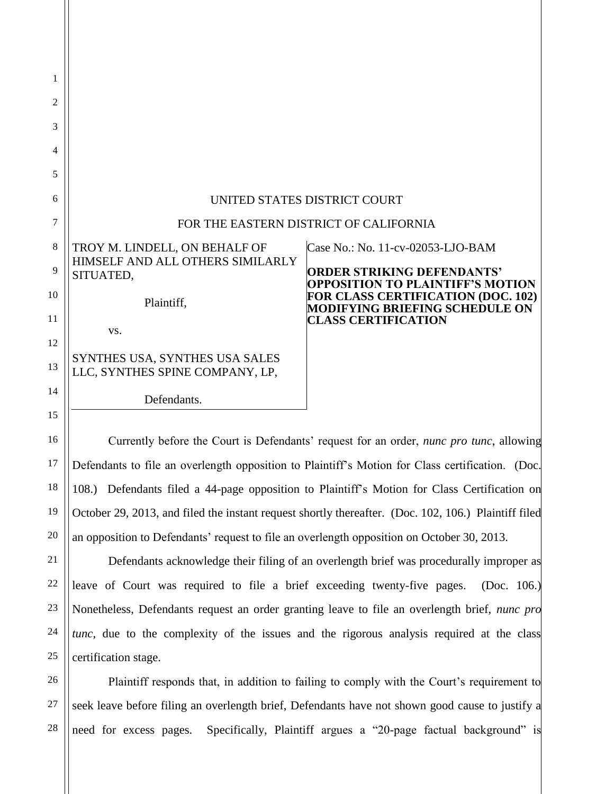| 1  |                                                                   |                                                                                                                               |
|----|-------------------------------------------------------------------|-------------------------------------------------------------------------------------------------------------------------------|
| 2  |                                                                   |                                                                                                                               |
| 3  |                                                                   |                                                                                                                               |
| 4  |                                                                   |                                                                                                                               |
| 5  |                                                                   |                                                                                                                               |
| 6  | UNITED STATES DISTRICT COURT                                      |                                                                                                                               |
| 7  | FOR THE EASTERN DISTRICT OF CALIFORNIA                            |                                                                                                                               |
| 8  | TROY M. LINDELL, ON BEHALF OF                                     | Case No.: No. 11-cv-02053-LJO-BAM                                                                                             |
| 9  | HIMSELF AND ALL OTHERS SIMILARLY<br>SITUATED,                     | <b>ORDER STRIKING DEFENDANTS'</b>                                                                                             |
| 10 | Plaintiff,                                                        | <b>OPPOSITION TO PLAINTIFF'S MOTION</b><br><b>FOR CLASS CERTIFICATION (DOC. 102)</b><br><b>MODIFYING BRIEFING SCHEDULE ON</b> |
| 11 | VS.                                                               | <b>CLASS CERTIFICATION</b>                                                                                                    |
| 12 |                                                                   |                                                                                                                               |
| 13 | SYNTHES USA, SYNTHES USA SALES<br>LLC, SYNTHES SPINE COMPANY, LP, |                                                                                                                               |
| 14 | Defendants.                                                       |                                                                                                                               |
| 15 |                                                                   |                                                                                                                               |

Currently before the Court is Defendants' request for an order, *nunc pro tunc*, allowing Defendants to file an overlength opposition to Plaintiff's Motion for Class certification. (Doc. 108.) Defendants filed a 44-page opposition to Plaintiff's Motion for Class Certification on October 29, 2013, and filed the instant request shortly thereafter. (Doc. 102, 106.) Plaintiff filed an opposition to Defendants' request to file an overlength opposition on October 30, 2013.

16

17

18

19

20

21

22

23

24

25

Defendants acknowledge their filing of an overlength brief was procedurally improper as leave of Court was required to file a brief exceeding twenty-five pages. (Doc. 106.) Nonetheless, Defendants request an order granting leave to file an overlength brief, *nunc pro tunc*, due to the complexity of the issues and the rigorous analysis required at the class certification stage.

26 27 28 Plaintiff responds that, in addition to failing to comply with the Court's requirement to seek leave before filing an overlength brief, Defendants have not shown good cause to justify a need for excess pages. Specifically, Plaintiff argues a "20-page factual background" is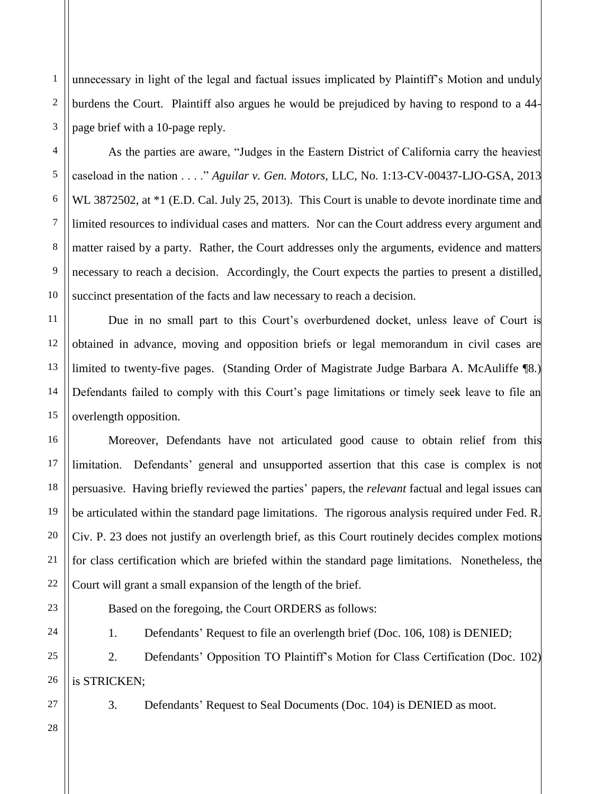unnecessary in light of the legal and factual issues implicated by Plaintiff's Motion and unduly burdens the Court. Plaintiff also argues he would be prejudiced by having to respond to a 44 page brief with a 10-page reply.

As the parties are aware, "Judges in the Eastern District of California carry the heaviest caseload in the nation . . . ." *Aguilar v. Gen. Motors,* LLC, No. 1:13-CV-00437-LJO-GSA, 2013 WL 3872502, at  $*1$  (E.D. Cal. July 25, 2013). This Court is unable to devote inordinate time and limited resources to individual cases and matters. Nor can the Court address every argument and matter raised by a party. Rather, the Court addresses only the arguments, evidence and matters necessary to reach a decision. Accordingly, the Court expects the parties to present a distilled, succinct presentation of the facts and law necessary to reach a decision.

Due in no small part to this Court's overburdened docket, unless leave of Court is obtained in advance, moving and opposition briefs or legal memorandum in civil cases are limited to twenty-five pages. (Standing Order of Magistrate Judge Barbara A. McAuliffe ¶8.) Defendants failed to comply with this Court's page limitations or timely seek leave to file an overlength opposition.

Moreover, Defendants have not articulated good cause to obtain relief from this limitation. Defendants' general and unsupported assertion that this case is complex is not persuasive. Having briefly reviewed the parties' papers, the *relevant* factual and legal issues can be articulated within the standard page limitations. The rigorous analysis required under Fed. R. Civ. P. 23 does not justify an overlength brief, as this Court routinely decides complex motions for class certification which are briefed within the standard page limitations. Nonetheless, the Court will grant a small expansion of the length of the brief.

Based on the foregoing, the Court ORDERS as follows:

1. Defendants' Request to file an overlength brief (Doc. 106, 108) is DENIED;

25 26 2. Defendants' Opposition TO Plaintiff's Motion for Class Certification (Doc. 102) is STRICKEN;

27

1

2

3

4

5

6

7

8

9

10

11

12

13

14

15

16

17

18

19

20

21

22

23

24

3. Defendants' Request to Seal Documents (Doc. 104) is DENIED as moot.

28